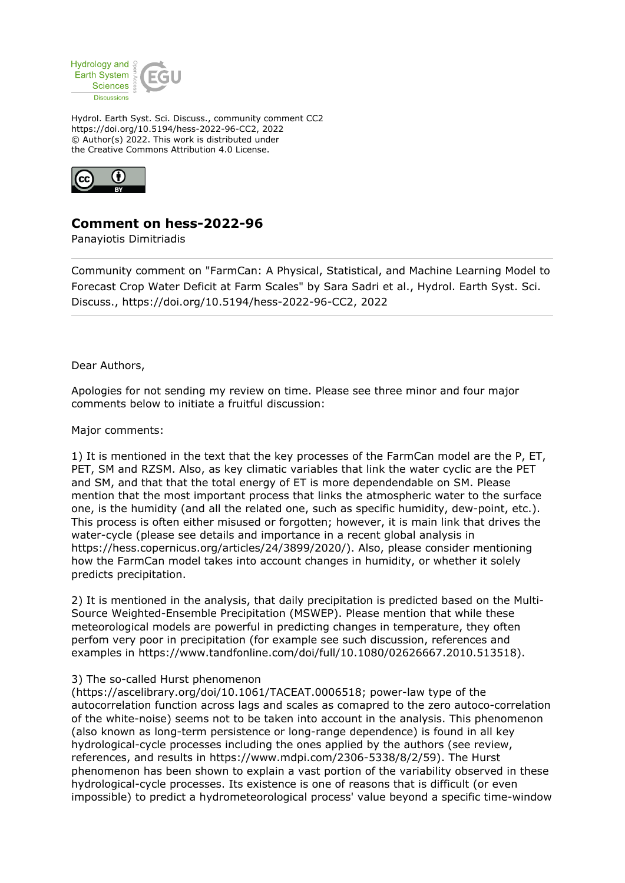

Hydrol. Earth Syst. Sci. Discuss., community comment CC2 https://doi.org/10.5194/hess-2022-96-CC2, 2022 © Author(s) 2022. This work is distributed under the Creative Commons Attribution 4.0 License.



## **Comment on hess-2022-96**

Panayiotis Dimitriadis

Community comment on "FarmCan: A Physical, Statistical, and Machine Learning Model to Forecast Crop Water Deficit at Farm Scales" by Sara Sadri et al., Hydrol. Earth Syst. Sci. Discuss., https://doi.org/10.5194/hess-2022-96-CC2, 2022

Dear Authors,

Apologies for not sending my review on time. Please see three minor and four major comments below to initiate a fruitful discussion:

Major comments:

1) It is mentioned in the text that the key processes of the FarmCan model are the P, ET, PET, SM and RZSM. Also, as key climatic variables that link the water cyclic are the PET and SM, and that that the total energy of ET is more dependendable on SM. Please mention that the most important process that links the atmospheric water to the surface one, is the humidity (and all the related one, such as specific humidity, dew-point, etc.). This process is often either misused or forgotten; however, it is main link that drives the water-cycle (please see details and importance in a recent global analysis in https://hess.copernicus.org/articles/24/3899/2020/). Also, please consider mentioning how the FarmCan model takes into account changes in humidity, or whether it solely predicts precipitation.

2) It is mentioned in the analysis, that daily precipitation is predicted based on the Multi-Source Weighted-Ensemble Precipitation (MSWEP). Please mention that while these meteorological models are powerful in predicting changes in temperature, they often perfom very poor in precipitation (for example see such discussion, references and examples in https://www.tandfonline.com/doi/full/10.1080/02626667.2010.513518).

## 3) The so-called Hurst phenomenon

(https://ascelibrary.org/doi/10.1061/TACEAT.0006518; power-law type of the autocorrelation function across lags and scales as comapred to the zero autoco-correlation of the white-noise) seems not to be taken into account in the analysis. This phenomenon (also known as long-term persistence or long-range dependence) is found in all key hydrological-cycle processes including the ones applied by the authors (see review, references, and results in https://www.mdpi.com/2306-5338/8/2/59). The Hurst phenomenon has been shown to explain a vast portion of the variability observed in these hydrological-cycle processes. Its existence is one of reasons that is difficult (or even impossible) to predict a hydrometeorological process' value beyond a specific time-window